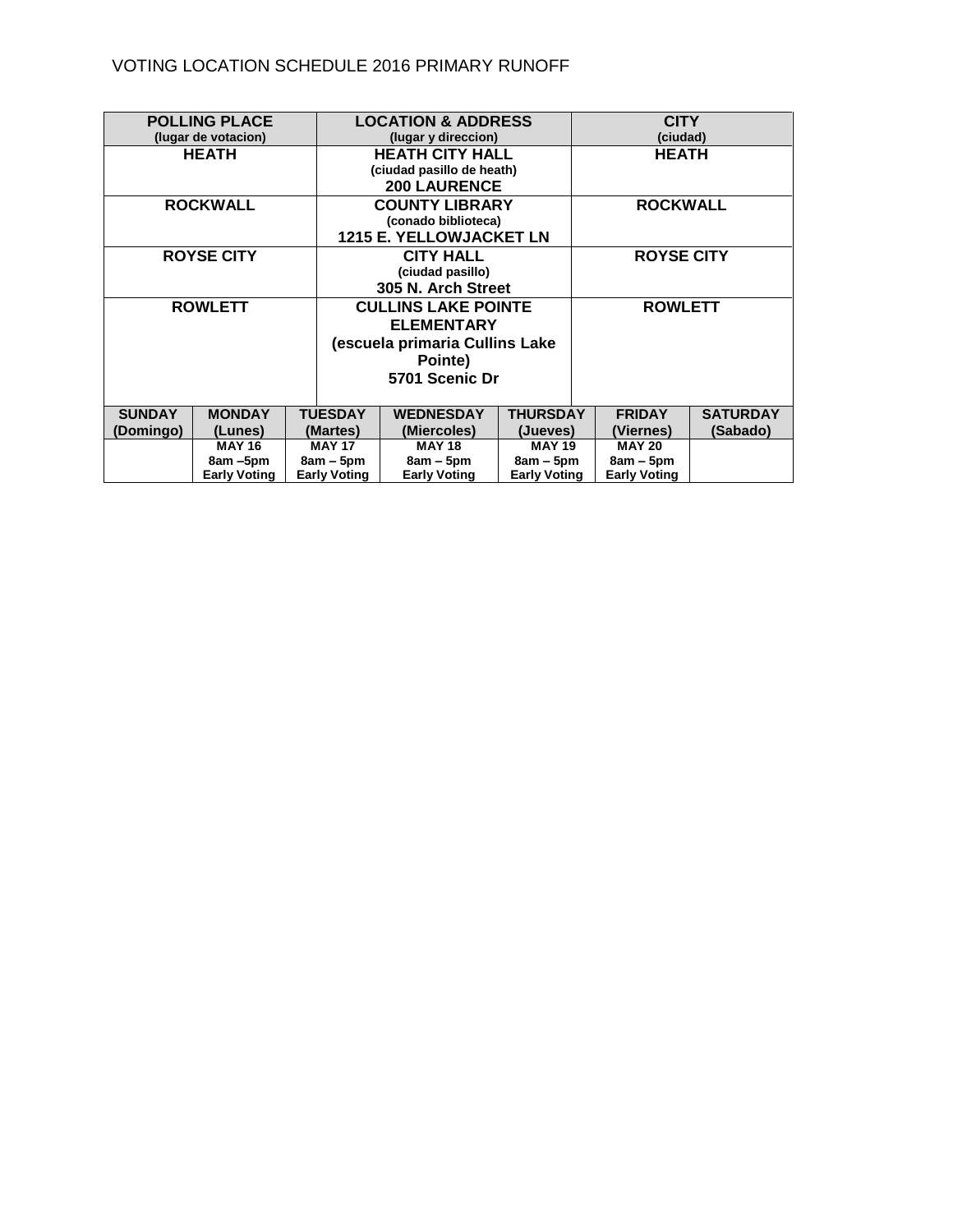## VOTING LOCATION SCHEDULE 2016 PRIMARY RUNOFF

| <b>POLLING PLACE</b> |                     |                     | <b>LOCATION &amp; ADDRESS</b>  |                     | <b>CITY</b>         |                 |
|----------------------|---------------------|---------------------|--------------------------------|---------------------|---------------------|-----------------|
| (lugar de votacion)  |                     |                     | (lugar y direccion)            |                     | (ciudad)            |                 |
| <b>HEATH</b>         |                     |                     | <b>HEATH CITY HALL</b>         |                     | <b>HEATH</b>        |                 |
|                      |                     |                     | (ciudad pasillo de heath)      |                     |                     |                 |
|                      |                     |                     | <b>200 LAURENCE</b>            |                     |                     |                 |
| <b>ROCKWALL</b>      |                     |                     | <b>COUNTY LIBRARY</b>          |                     | <b>ROCKWALL</b>     |                 |
|                      |                     |                     | (conado biblioteca)            |                     |                     |                 |
|                      |                     |                     | <b>1215 E. YELLOWJACKET LN</b> |                     |                     |                 |
| <b>ROYSE CITY</b>    |                     |                     | <b>CITY HALL</b>               |                     | <b>ROYSE CITY</b>   |                 |
|                      |                     |                     | (ciudad pasillo)               |                     |                     |                 |
|                      |                     |                     | 305 N. Arch Street             |                     |                     |                 |
| <b>ROWLETT</b>       |                     |                     | <b>CULLINS LAKE POINTE</b>     |                     | <b>ROWLETT</b>      |                 |
|                      |                     |                     | <b>ELEMENTARY</b>              |                     |                     |                 |
|                      |                     |                     | (escuela primaria Cullins Lake |                     |                     |                 |
|                      |                     |                     | Pointe)                        |                     |                     |                 |
|                      |                     |                     | 5701 Scenic Dr                 |                     |                     |                 |
|                      |                     |                     |                                |                     |                     |                 |
| <b>SUNDAY</b>        | <b>MONDAY</b>       | <b>TUESDAY</b>      | <b>WEDNESDAY</b>               | <b>THURSDAY</b>     | <b>FRIDAY</b>       | <b>SATURDAY</b> |
| (Domingo)            | (Lunes)             | (Martes)            | (Miercoles)                    | (Jueves)            | (Viernes)           | (Sabado)        |
|                      | <b>MAY 16</b>       | <b>MAY 17</b>       | <b>MAY 18</b>                  | <b>MAY 19</b>       | <b>MAY 20</b>       |                 |
|                      | 8am-5pm             | $8am - 5pm$         | $8am - 5pm$                    | $8am - 5pm$         | $8am - 5pm$         |                 |
|                      | <b>Early Voting</b> | <b>Early Voting</b> | <b>Early Voting</b>            | <b>Early Voting</b> | <b>Early Voting</b> |                 |